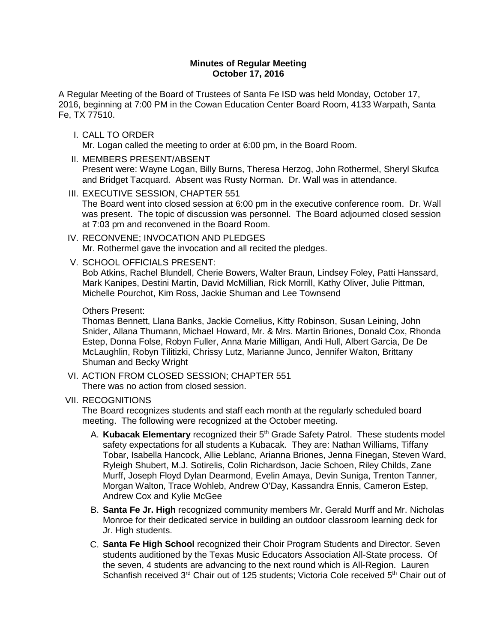### **Minutes of Regular Meeting October 17, 2016**

A Regular Meeting of the Board of Trustees of Santa Fe ISD was held Monday, October 17, 2016, beginning at 7:00 PM in the Cowan Education Center Board Room, 4133 Warpath, Santa Fe, TX 77510.

- I. CALL TO ORDER Mr. Logan called the meeting to order at 6:00 pm, in the Board Room.
- II. MEMBERS PRESENT/ABSENT Present were: Wayne Logan, Billy Burns, Theresa Herzog, John Rothermel, Sheryl Skufca and Bridget Tacquard. Absent was Rusty Norman. Dr. Wall was in attendance.
- III. EXECUTIVE SESSION, CHAPTER 551 The Board went into closed session at 6:00 pm in the executive conference room. Dr. Wall was present. The topic of discussion was personnel. The Board adjourned closed session at 7:03 pm and reconvened in the Board Room.
- IV. RECONVENE; INVOCATION AND PLEDGES Mr. Rothermel gave the invocation and all recited the pledges.
- V. SCHOOL OFFICIALS PRESENT:

Bob Atkins, Rachel Blundell, Cherie Bowers, Walter Braun, Lindsey Foley, Patti Hanssard, Mark Kanipes, Destini Martin, David McMillian, Rick Morrill, Kathy Oliver, Julie Pittman, Michelle Pourchot, Kim Ross, Jackie Shuman and Lee Townsend

### Others Present:

Thomas Bennett, Llana Banks, Jackie Cornelius, Kitty Robinson, Susan Leining, John Snider, Allana Thumann, Michael Howard, Mr. & Mrs. Martin Briones, Donald Cox, Rhonda Estep, Donna Folse, Robyn Fuller, Anna Marie Milligan, Andi Hull, Albert Garcia, De De McLaughlin, Robyn Tilitizki, Chrissy Lutz, Marianne Junco, Jennifer Walton, Brittany Shuman and Becky Wright

- VI. ACTION FROM CLOSED SESSION; CHAPTER 551 There was no action from closed session.
- VII. RECOGNITIONS

The Board recognizes students and staff each month at the regularly scheduled board meeting. The following were recognized at the October meeting.

- A. **Kubacak Elementary** recognized their 5<sup>th</sup> Grade Safety Patrol. These students model safety expectations for all students a Kubacak. They are: Nathan Williams, Tiffany Tobar, Isabella Hancock, Allie Leblanc, Arianna Briones, Jenna Finegan, Steven Ward, Ryleigh Shubert, M.J. Sotirelis, Colin Richardson, Jacie Schoen, Riley Childs, Zane Murff, Joseph Floyd Dylan Dearmond, Evelin Amaya, Devin Suniga, Trenton Tanner, Morgan Walton, Trace Wohleb, Andrew O'Day, Kassandra Ennis, Cameron Estep, Andrew Cox and Kylie McGee
- B. **Santa Fe Jr. High** recognized community members Mr. Gerald Murff and Mr. Nicholas Monroe for their dedicated service in building an outdoor classroom learning deck for Jr. High students.
- C. **Santa Fe High School** recognized their Choir Program Students and Director. Seven students auditioned by the Texas Music Educators Association All-State process. Of the seven, 4 students are advancing to the next round which is All-Region. Lauren Schanfish received 3<sup>rd</sup> Chair out of 125 students; Victoria Cole received 5<sup>th</sup> Chair out of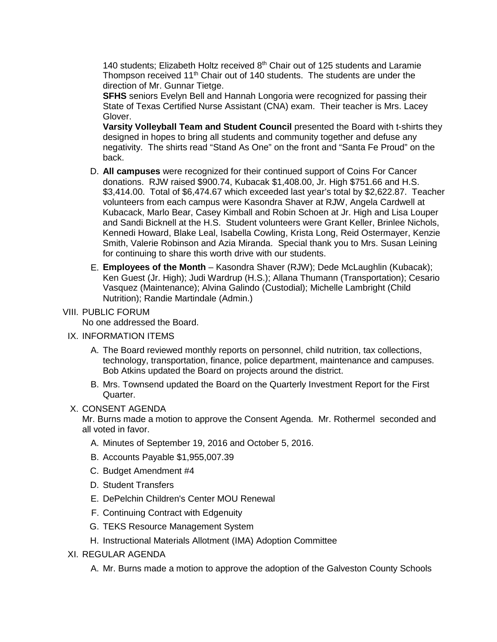140 students; Elizabeth Holtz received 8<sup>th</sup> Chair out of 125 students and Laramie Thompson received 11<sup>th</sup> Chair out of 140 students. The students are under the direction of Mr. Gunnar Tietge.

**SFHS** seniors Evelyn Bell and Hannah Longoria were recognized for passing their State of Texas Certified Nurse Assistant (CNA) exam. Their teacher is Mrs. Lacey Glover.

**Varsity Volleyball Team and Student Council** presented the Board with t-shirts they designed in hopes to bring all students and community together and defuse any negativity. The shirts read "Stand As One" on the front and "Santa Fe Proud" on the back.

- D. **All campuses** were recognized for their continued support of Coins For Cancer donations. RJW raised \$900.74, Kubacak \$1,408.00, Jr. High \$751.66 and H.S. \$3,414.00. Total of \$6,474.67 which exceeded last year's total by \$2,622.87. Teacher volunteers from each campus were Kasondra Shaver at RJW, Angela Cardwell at Kubacack, Marlo Bear, Casey Kimball and Robin Schoen at Jr. High and Lisa Louper and Sandi Bicknell at the H.S. Student volunteers were Grant Keller, Brinlee Nichols, Kennedi Howard, Blake Leal, Isabella Cowling, Krista Long, Reid Ostermayer, Kenzie Smith, Valerie Robinson and Azia Miranda. Special thank you to Mrs. Susan Leining for continuing to share this worth drive with our students.
- E. **Employees of the Month**  Kasondra Shaver (RJW); Dede McLaughlin (Kubacak); Ken Guest (Jr. High); Judi Wardrup (H.S.); Allana Thumann (Transportation); Cesario Vasquez (Maintenance); Alvina Galindo (Custodial); Michelle Lambright (Child Nutrition); Randie Martindale (Admin.)

# VIII. PUBLIC FORUM

No one addressed the Board.

- IX. INFORMATION ITEMS
	- A. The Board reviewed monthly reports on personnel, child nutrition, tax collections, technology, transportation, finance, police department, maintenance and campuses. Bob Atkins updated the Board on projects around the district.
	- B. Mrs. Townsend updated the Board on the Quarterly Investment Report for the First Quarter.

# X. CONSENT AGENDA

Mr. Burns made a motion to approve the Consent Agenda. Mr. Rothermel seconded and all voted in favor.

- A. Minutes of September 19, 2016 and October 5, 2016.
- B. Accounts Payable \$1,955,007.39
- C. Budget Amendment #4
- D. Student Transfers
- E. DePelchin Children's Center MOU Renewal
- F. Continuing Contract with Edgenuity
- G. TEKS Resource Management System
- H. Instructional Materials Allotment (IMA) Adoption Committee
- XI. REGULAR AGENDA
	- A. Mr. Burns made a motion to approve the adoption of the Galveston County Schools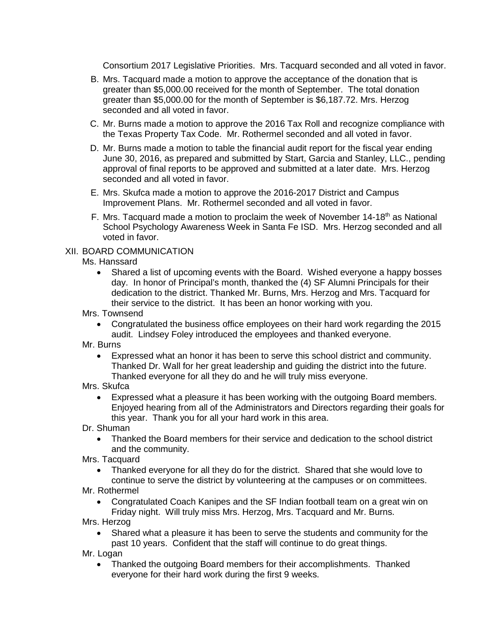Consortium 2017 Legislative Priorities. Mrs. Tacquard seconded and all voted in favor.

- B. Mrs. Tacquard made a motion to approve the acceptance of the donation that is greater than \$5,000.00 received for the month of September. The total donation greater than \$5,000.00 for the month of September is \$6,187.72. Mrs. Herzog seconded and all voted in favor.
- C. Mr. Burns made a motion to approve the 2016 Tax Roll and recognize compliance with the Texas Property Tax Code. Mr. Rothermel seconded and all voted in favor.
- D. Mr. Burns made a motion to table the financial audit report for the fiscal year ending June 30, 2016, as prepared and submitted by Start, Garcia and Stanley, LLC., pending approval of final reports to be approved and submitted at a later date. Mrs. Herzog seconded and all voted in favor.
- E. Mrs. Skufca made a motion to approve the 2016-2017 District and Campus Improvement Plans. Mr. Rothermel seconded and all voted in favor.
- F. Mrs. Tacquard made a motion to proclaim the week of November  $14-18<sup>th</sup>$  as National School Psychology Awareness Week in Santa Fe ISD. Mrs. Herzog seconded and all voted in favor.

# XII. BOARD COMMUNICATION

Ms. Hanssard

• Shared a list of upcoming events with the Board. Wished everyone a happy bosses day. In honor of Principal's month, thanked the (4) SF Alumni Principals for their dedication to the district. Thanked Mr. Burns, Mrs. Herzog and Mrs. Tacquard for their service to the district. It has been an honor working with you.

Mrs. Townsend

• Congratulated the business office employees on their hard work regarding the 2015 audit. Lindsey Foley introduced the employees and thanked everyone.

Mr. Burns

• Expressed what an honor it has been to serve this school district and community. Thanked Dr. Wall for her great leadership and guiding the district into the future. Thanked everyone for all they do and he will truly miss everyone.

Mrs. Skufca

• Expressed what a pleasure it has been working with the outgoing Board members. Enjoyed hearing from all of the Administrators and Directors regarding their goals for this year. Thank you for all your hard work in this area.

Dr. Shuman

• Thanked the Board members for their service and dedication to the school district and the community.

Mrs. Tacquard

- Thanked everyone for all they do for the district. Shared that she would love to continue to serve the district by volunteering at the campuses or on committees.
- Mr. Rothermel
	- Congratulated Coach Kanipes and the SF Indian football team on a great win on Friday night. Will truly miss Mrs. Herzog, Mrs. Tacquard and Mr. Burns.

Mrs. Herzog

• Shared what a pleasure it has been to serve the students and community for the past 10 years. Confident that the staff will continue to do great things.

Mr. Logan

• Thanked the outgoing Board members for their accomplishments. Thanked everyone for their hard work during the first 9 weeks.